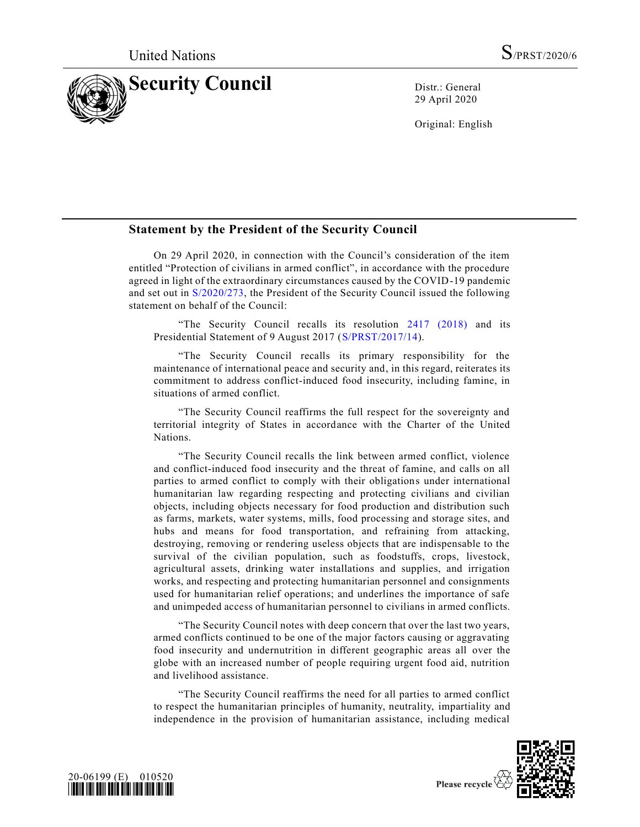

29 April 2020

Original: English

## **Statement by the President of the Security Council**

On 29 April 2020, in connection with the Council's consideration of the item entitled "Protection of civilians in armed conflict", in accordance with the procedure agreed in light of the extraordinary circumstances caused by the COVID-19 pandemic and set out in [S/2020/273,](https://undocs.org/en/S/2020/273) the President of the Security Council issued the following statement on behalf of the Council:

"The Security Council recalls its resolution [2417 \(2018\)](https://undocs.org/en/S/RES/2417(2018)) and its Presidential Statement of 9 August 2017 [\(S/PRST/2017/14\)](https://undocs.org/en/S/PRST/2017/14).

"The Security Council recalls its primary responsibility for the maintenance of international peace and security and, in this regard, reiterates its commitment to address conflict-induced food insecurity, including famine, in situations of armed conflict.

"The Security Council reaffirms the full respect for the sovereignty and territorial integrity of States in accordance with the Charter of the United Nations.

"The Security Council recalls the link between armed conflict, violence and conflict-induced food insecurity and the threat of famine, and calls on all parties to armed conflict to comply with their obligations under international humanitarian law regarding respecting and protecting civilians and civilian objects, including objects necessary for food production and distribution such as farms, markets, water systems, mills, food processing and storage sites, and hubs and means for food transportation, and refraining from attacking, destroying, removing or rendering useless objects that are indispensable to the survival of the civilian population, such as foodstuffs, crops, livestock, agricultural assets, drinking water installations and supplies, and irrigation works, and respecting and protecting humanitarian personnel and consignments used for humanitarian relief operations; and underlines the importance of safe and unimpeded access of humanitarian personnel to civilians in armed conflicts.

"The Security Council notes with deep concern that over the last two years, armed conflicts continued to be one of the major factors causing or aggravating food insecurity and undernutrition in different geographic areas all over the globe with an increased number of people requiring urgent food aid, nutrition and livelihood assistance.

"The Security Council reaffirms the need for all parties to armed conflict to respect the humanitarian principles of humanity, neutrality, impartiality and independence in the provision of humanitarian assistance, including medical



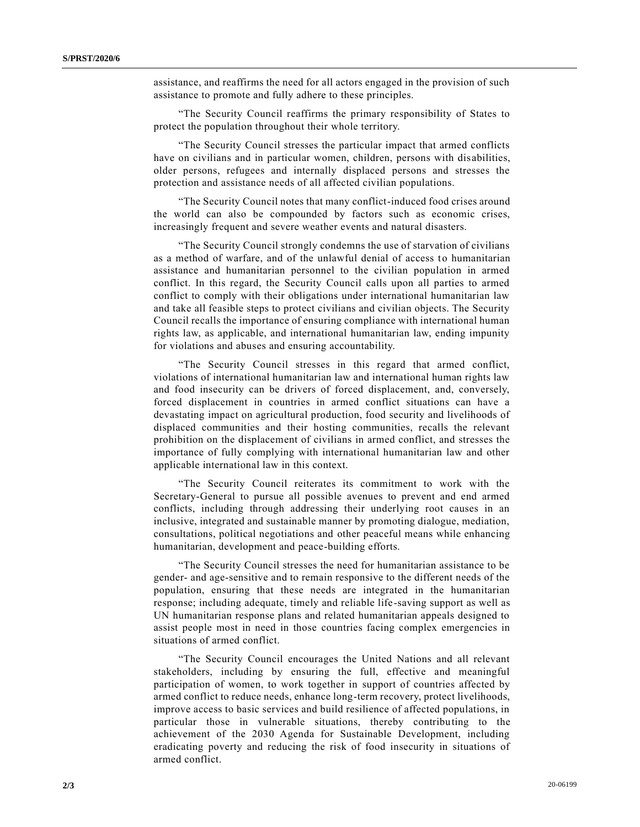assistance, and reaffirms the need for all actors engaged in the provision of such assistance to promote and fully adhere to these principles.

"The Security Council reaffirms the primary responsibility of States to protect the population throughout their whole territory.

"The Security Council stresses the particular impact that armed conflicts have on civilians and in particular women, children, persons with disabilities, older persons, refugees and internally displaced persons and stresses the protection and assistance needs of all affected civilian populations.

"The Security Council notes that many conflict-induced food crises around the world can also be compounded by factors such as economic crises, increasingly frequent and severe weather events and natural disasters.

"The Security Council strongly condemns the use of starvation of civilians as a method of warfare, and of the unlawful denial of access to humanitarian assistance and humanitarian personnel to the civilian population in armed conflict. In this regard, the Security Council calls upon all parties to armed conflict to comply with their obligations under international humanitarian law and take all feasible steps to protect civilians and civilian objects. The Security Council recalls the importance of ensuring compliance with international human rights law, as applicable, and international humanitarian law, ending impunity for violations and abuses and ensuring accountability.

"The Security Council stresses in this regard that armed conflict, violations of international humanitarian law and international human rights law and food insecurity can be drivers of forced displacement, and, conversely, forced displacement in countries in armed conflict situations can have a devastating impact on agricultural production, food security and livelihoods of displaced communities and their hosting communities, recalls the relevant prohibition on the displacement of civilians in armed conflict, and stresses the importance of fully complying with international humanitarian law and other applicable international law in this context.

"The Security Council reiterates its commitment to work with the Secretary-General to pursue all possible avenues to prevent and end armed conflicts, including through addressing their underlying root causes in an inclusive, integrated and sustainable manner by promoting dialogue, mediation, consultations, political negotiations and other peaceful means while enhancing humanitarian, development and peace-building efforts.

"The Security Council stresses the need for humanitarian assistance to be gender- and age-sensitive and to remain responsive to the different needs of the population, ensuring that these needs are integrated in the humanitarian response; including adequate, timely and reliable life-saving support as well as UN humanitarian response plans and related humanitarian appeals designed to assist people most in need in those countries facing complex emergencies in situations of armed conflict.

"The Security Council encourages the United Nations and all relevant stakeholders, including by ensuring the full, effective and meaningful participation of women, to work together in support of countries affected by armed conflict to reduce needs, enhance long-term recovery, protect livelihoods, improve access to basic services and build resilience of affected populations, in particular those in vulnerable situations, thereby contributing to the achievement of the 2030 Agenda for Sustainable Development, including eradicating poverty and reducing the risk of food insecurity in situations of armed conflict.